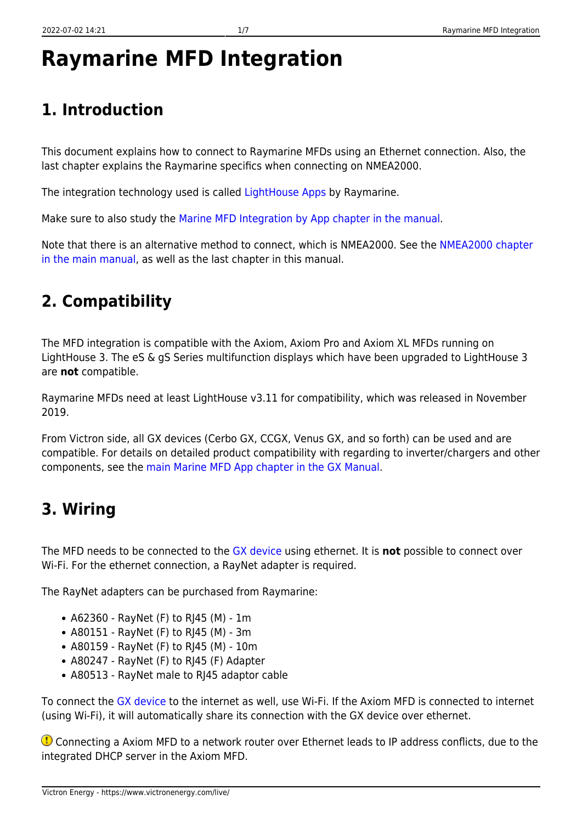# **Raymarine MFD Integration**

# **1. Introduction**

This document explains how to connect to Raymarine MFDs using an Ethernet connection. Also, the last chapter explains the Raymarine specifics when connecting on NMEA2000.

The integration technology used is called [LightHouse Apps](http://www.raymarine.com/multifunction-displays/lighthouse3/lighthouse-apps.html) by Raymarine.

Make sure to also study the [Marine MFD Integration by App chapter in the manual](https://www.victronenergy.com/live/ccgx:start#marine_mfd_integration_by_app).

Note that there is an alternative method to connect, which is NMEA2000. See the [NMEA2000 chapter](https://www.victronenergy.com/live/ccgx:start#marine_mfd_integration_by_nmea_2000) [in the main manual,](https://www.victronenergy.com/live/ccgx:start#marine_mfd_integration_by_nmea_2000) as well as the last chapter in this manual.

## **2. Compatibility**

The MFD integration is compatible with the Axiom, Axiom Pro and Axiom XL MFDs running on LightHouse 3. The eS & gS Series multifunction displays which have been upgraded to LightHouse 3 are **not** compatible.

Raymarine MFDs need at least LightHouse v3.11 for compatibility, which was released in November 2019.

From Victron side, all GX devices (Cerbo GX, CCGX, Venus GX, and so forth) can be used and are compatible. For details on detailed product compatibility with regarding to inverter/chargers and other components, see the [main Marine MFD App chapter in the GX Manual](https://www.victronenergy.com/live/ccgx:start#marine_mfd_integration_by_app).

# **3. Wiring**

The MFD needs to be connected to the [GX device](https://www.victronenergy.com/live/venus-os:start) using ethernet. It is **not** possible to connect over Wi-Fi. For the ethernet connection, a RayNet adapter is required.

The RayNet adapters can be purchased from Raymarine:

- A62360 RayNet (F) to RJ45 (M) 1m
- A80151 RayNet (F) to RJ45 (M) 3m
- A80159 RayNet (F) to RJ45 (M) 10m
- A80247 RayNet (F) to RJ45 (F) Adapter
- A80513 RayNet male to RJ45 adaptor cable

To connect the [GX device](https://www.victronenergy.com/live/venus-os:start) to the internet as well, use Wi-Fi. If the Axiom MFD is connected to internet (using Wi-Fi), it will automatically share its connection with the GX device over ethernet.

**Connecting a Axiom MFD to a network router over Ethernet leads to IP address conflicts, due to the** integrated DHCP server in the Axiom MFD.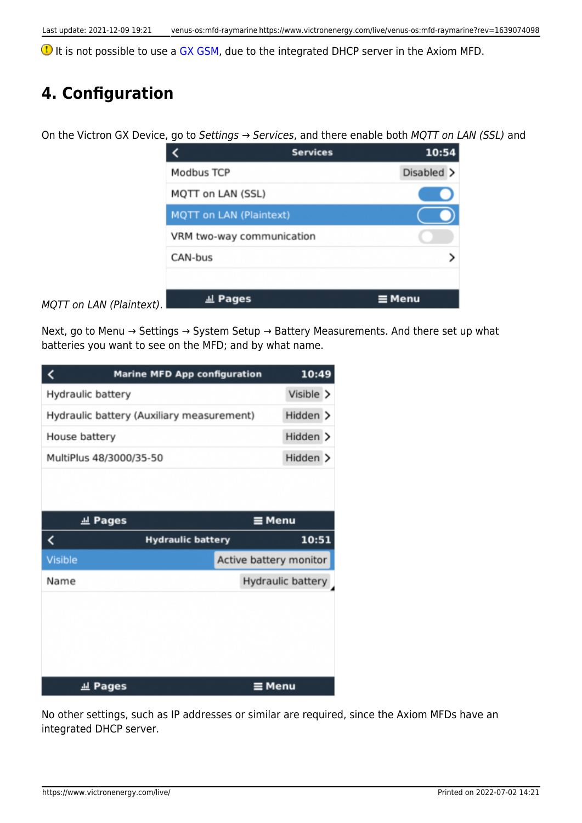**1** It is not possible to use a [GX GSM,](https://www.victronenergy.com/accessories/gx-gsm) due to the integrated DHCP server in the Axiom MFD.

### **4. Configuration**

On the Victron GX Device, go to Settings  $\rightarrow$  Services, and there enable both MQTT on LAN (SSL) and

|                                | <b>Services</b> | 10:54         |
|--------------------------------|-----------------|---------------|
| <b>Modbus TCP</b>              |                 | Disabled >    |
| MQTT on LAN (SSL)              |                 |               |
| <b>MQTT on LAN (Plaintext)</b> |                 |               |
| VRM two-way communication      |                 |               |
| CAN-bus                        |                 |               |
|                                |                 |               |
| <u>교</u> Pages                 |                 | $\equiv$ Menu |

MQTT on LAN (Plaintext).

Next, go to Menu → Settings → System Setup → Battery Measurements. And there set up what batteries you want to see on the MFD; and by what name.

|                         | <b>Marine MFD App configuration</b>       | 10:49                  |
|-------------------------|-------------------------------------------|------------------------|
| Hydraulic battery       |                                           | Visible >              |
|                         | Hydraulic battery (Auxiliary measurement) | Hidden >               |
| House battery           |                                           | Hidden >               |
| MultiPlus 48/3000/35-50 |                                           | Hidden >               |
|                         |                                           |                        |
| <b>Jul Pages</b>        |                                           | ≡ Menu                 |
| K                       | <b>Hydraulic battery</b>                  | 10:51                  |
|                         |                                           |                        |
| <b>Visible</b>          |                                           | Active battery monitor |
| Name                    |                                           | Hydraulic battery      |
|                         |                                           |                        |

No other settings, such as IP addresses or similar are required, since the Axiom MFDs have an integrated DHCP server.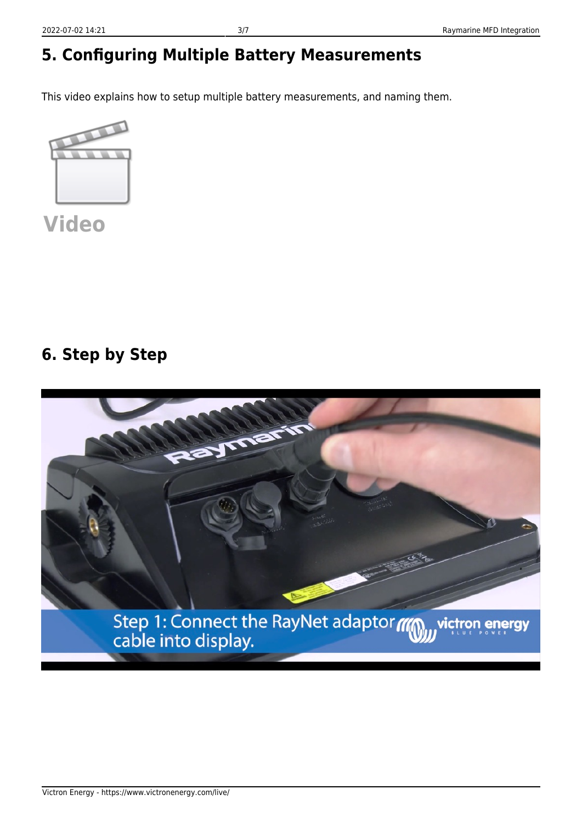# **5. Configuring Multiple Battery Measurements**

This video explains how to setup multiple battery measurements, and naming them.



**[Video](https://www.youtube-nocookie.com/embed/0Mrk5Q4izvg)**

### **6. Step by Step**

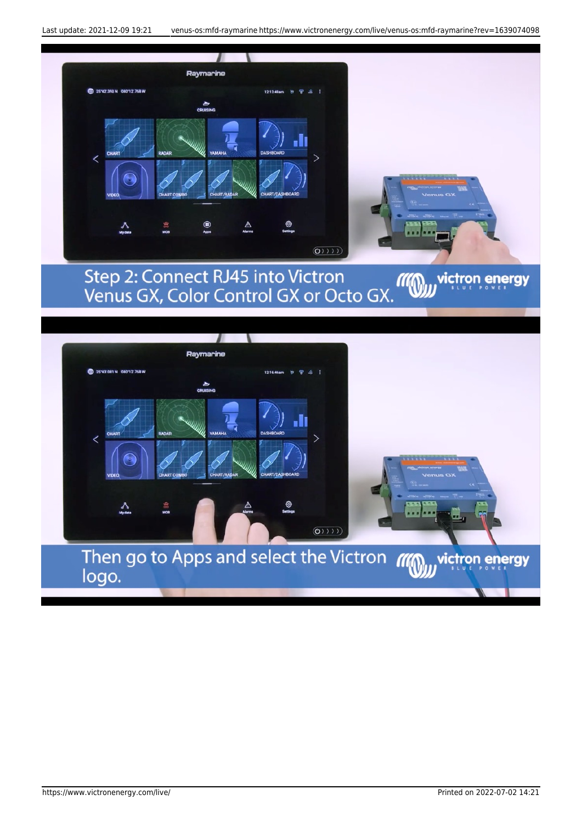



 $(0)$ )))

Then go to Apps and select the Victron *III* 

 $\frac{3}{M}$ 

logo.

victron energy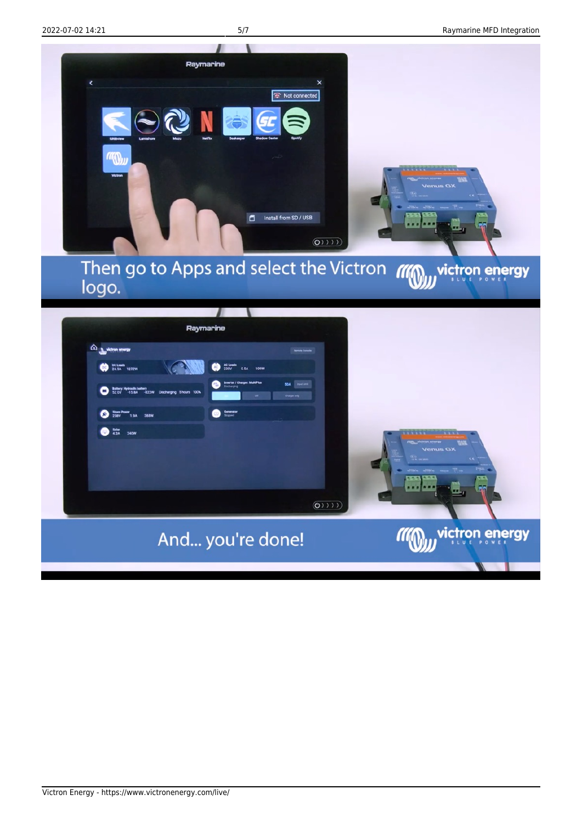

Raymarine m<sub>an</sub>viction energy DCLash 1272W **239V** 0.5A  $2520V$   $^{1000V}$  $\bullet$  ---- $\bigcirc$   $\frac{m}{230}$  $20$  in 2400  $(0)$ victron energy And... you're done!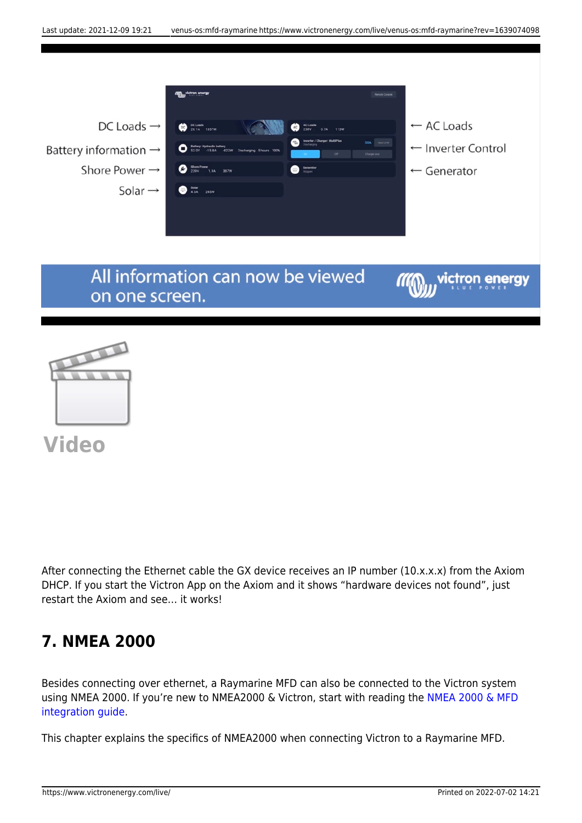

**[Video](https://www.youtube-nocookie.com/embed/dAfJy5d_vcA)**

After connecting the Ethernet cable the GX device receives an IP number (10.x.x.x) from the Axiom DHCP. If you start the Victron App on the Axiom and it shows "hardware devices not found", just restart the Axiom and see… it works!

#### **7. NMEA 2000**

Besides connecting over ethernet, a Raymarine MFD can also be connected to the Victron system using NMEA 2000. If you're new to NMEA2000 & Victron, start with reading the [NMEA 2000 & MFD](https://www.victronenergy.com/live/ve.can:nmea-2000:start) [integration guide.](https://www.victronenergy.com/live/ve.can:nmea-2000:start)

This chapter explains the specifics of NMEA2000 when connecting Victron to a Raymarine MFD.